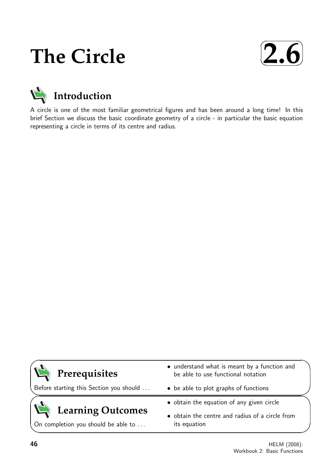# **The Circle**



## **Introduction**

A circle is one of the most familiar geometrical figures and has been around a long time! In this brief Section we discuss the basic coordinate geometry of a circle - in particular the basic equation representing a circle in terms of its centre and radius.

### **Prerequisites**

Before starting this Section you should . . .

## **Learning Outcomes**

On completion you should be able to ...

- understand what is meant by a function and be able to use functional notation
- be able to plot graphs of functions
- obtain the equation of any given circle
- obtain the centre and radius of a circle from its equation

 $\overline{\phantom{0}}$ 

 $\searrow$ 

 $\geq$ 

 $\overline{\phantom{0}}$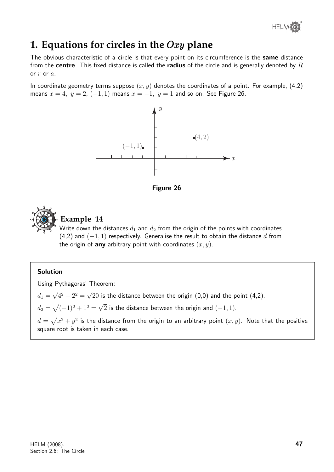

### **1. Equations for circles in the** Oxy **plane**

The obvious characteristic of a circle is that every point on its circumference is the same distance from the centre. This fixed distance is called the radius of the circle and is generally denoted by  $R$ or  $r$  or  $a$ .

In coordinate geometry terms suppose  $(x, y)$  denotes the coordinates of a point. For example, (4,2) means  $x = 4$ ,  $y = 2$ ,  $(-1, 1)$  means  $x = -1$ ,  $y = 1$  and so on. See Figure 26.







#### **Example 14**

Write down the distances  $d_1$  and  $d_2$  from the origin of the points with coordinates (4,2) and  $(-1, 1)$  respectively. Generalise the result to obtain the distance d from the origin of any arbitrary point with coordinates  $(x, y)$ .

#### Solution

Using Pythagoras' Theorem:  $d_1 =$ √  $4^2 + 2^2 =$ √  $20$  is the distance between the origin  $(0,0)$  and the point  $(4,2)$ .  $d_2 = \sqrt{(-1)^2 + 1^2} =$ √  $2$  is the distance between the origin and  $(-1,1).$  $d=\sqrt{x^2+y^2}$  is the distance from the origin to an arbitrary point  $(x,y).$  Note that the positive square root is taken in each case.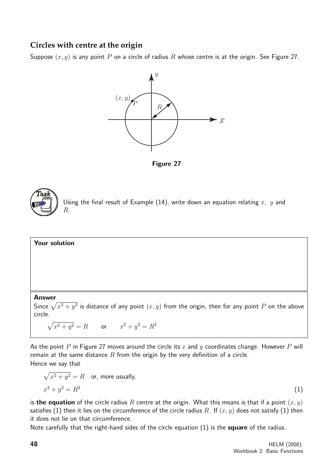#### **Circles with centre at the origin**

Suppose  $(x, y)$  is any point P on a circle of radius R whose centre is at the origin. See Figure 27.



Figure 27



Using the final result of Example (14), write down an equation relating  $x, y$  and R.

### Your solution

#### Answer

Since  $\sqrt{x^2 + y^2}$  is distance of any point  $(x, y)$  from the origin, then for any point P on the above circle.

$$
\sqrt{x^2 + y^2} = R
$$
 or  $x^2 + y^2 = R^2$ 

As the point P in Figure 27 moves around the circle its x and y coordinates change. However P will remain at the same distance  $R$  from the origin by the very definition of a circle. Hence we say that

$$
\sqrt{x^2 + y^2} = R \quad \text{or, more usually,}
$$
  

$$
x^2 + y^2 = R^2 \tag{1}
$$

is the equation of the circle radius R centre at the origin. What this means is that if a point  $(x, y)$ satisfies (1) then it lies on the circumference of the circle radius R. If  $(x, y)$  does not satisfy (1) then it does not lie on that circumference.

Note carefully that the right-hand sides of the circle equation (1) is the **square** of the radius.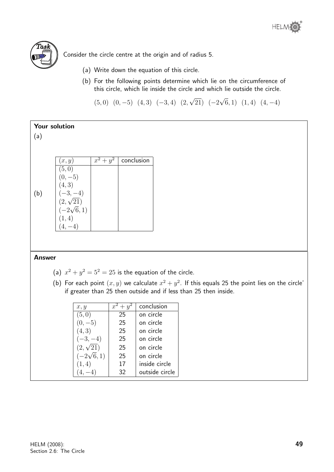



Consider the circle centre at the origin and of radius 5.

- (a) Write down the equation of this circle.
- (b) For the following points determine which lie on the circumference of this circle, which lie inside the circle and which lie outside the circle.

 $(5, 0)$   $(0, -5)$   $(4, 3)$   $(-3, 4)$   $(2,$ √  $(21)$   $(-2)$ √  $(6, 1)$   $(1, 4)$   $(4, -4)$ 

| Your solution |                                            |             |            |  |  |
|---------------|--------------------------------------------|-------------|------------|--|--|
| (a)           |                                            |             |            |  |  |
|               |                                            |             |            |  |  |
|               |                                            |             |            |  |  |
|               | (x, y)                                     | $x^2 + y^2$ | conclusion |  |  |
|               | (5,0)                                      |             |            |  |  |
|               | $(0,-5)$                                   |             |            |  |  |
|               | (4, 3)                                     |             |            |  |  |
| (b)           | $(-3,-4)$                                  |             |            |  |  |
|               | $\stackrel{(2,\sqrt{21})}{(-2\sqrt{6},1)}$ |             |            |  |  |
|               |                                            |             |            |  |  |
|               | 1, 4)                                      |             |            |  |  |
|               | $(4,-4)$                                   |             |            |  |  |
|               |                                            |             |            |  |  |
|               |                                            |             |            |  |  |
|               |                                            |             |            |  |  |
| <b>Answer</b> |                                            |             |            |  |  |

- (a)  $x^2 + y^2 = 5^2 = 25$  is the equation of the circle.
- (b) For each point  $(x, y)$  we calculate  $x^2 + y^2$ . If this equals 25 the point lies on the circle' if greater than 25 then outside and if less than 25 then inside.

| x, y             | $+ y$<br>$\mathcal{X}$ | conclusion     |
|------------------|------------------------|----------------|
| (5,0)            | 25                     | on circle      |
| $(0,-5)$         | 25                     | on circle      |
| (4,3)            | 25                     | on circle      |
| $(-3,-4)$        | 25                     | on circle      |
| $(2,\sqrt{21})$  | 25                     | on circle      |
| $(-2\sqrt{6},1)$ | 25                     | on circle      |
| (1,4)            | 17                     | inside circle  |
|                  | 32                     | outside circle |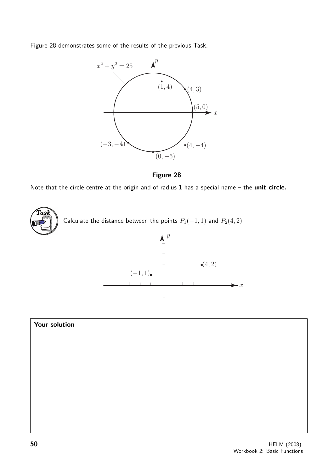Figure 28 demonstrates some of the results of the previous Task.





Note that the circle centre at the origin and of radius 1 has a special name – the unit circle.





 $\overline{\phantom{a}}$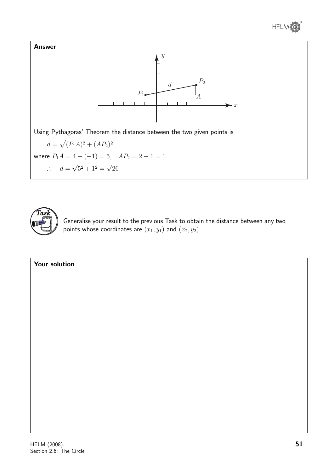





Generalise your result to the previous Task to obtain the distance between any two points whose coordinates are  $(x_1, y_1)$  and  $(x_2, y_2)$ .

#### Your solution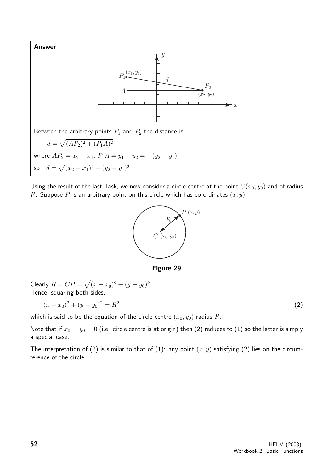

Using the result of the last Task, we now consider a circle centre at the point  $C(x_0; y_0)$  and of radius R. Suppose P is an arbitrary point on this circle which has co-ordinates  $(x, y)$ :



Figure 29

Clearly 
$$
R = CP = \sqrt{(x - x_0)^2 + (y - y_0)^2}
$$
. Hence, squaring both sides,  $(x - x_0)^2 + (y - y_0)^2 = R^2$ .

which is said to be the equation of the circle centre  $(x_0, y_0)$  radius R.

Note that if  $x_0 = y_0 = 0$  (i.e. circle centre is at origin) then (2) reduces to (1) so the latter is simply a special case.

The interpretation of (2) is similar to that of (1): any point  $(x, y)$  satisfying (2) lies on the circumference of the circle.

(2)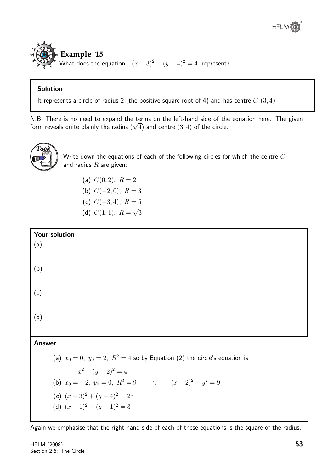

#### Solution

It represents a circle of radius 2 (the positive square root of 4) and has centre  $C(3,4)$ .

N.B. There is no need to expand the terms on the left-hand side of the equation here. The given  $f(x, B)$ . There is no need to expand the terms on the left-hand side of the circle.<br>form reveals quite plainly the radius  $(\sqrt{4})$  and centre  $(3, 4)$  of the circle.



Write down the equations of each of the following circles for which the centre C and radius  $R$  are given:

- (a)  $C(0, 2)$ ,  $R = 2$
- (b)  $C(-2,0), R = 3$
- (c)  $C(-3, 4)$ ,  $R = 5$
- (d)  $C(1,1), R =$ √ 3



Again we emphasise that the right-hand side of each of these equations is the square of the radius.

HELM (2008): Section 2.6: The Circle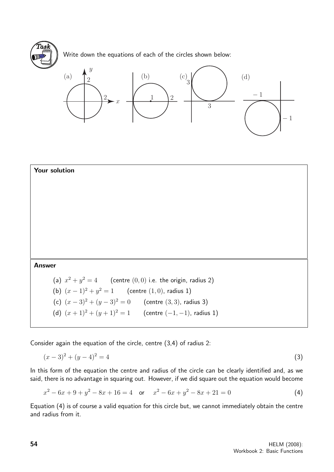

Write down the equations of each of the circles shown below:





Consider again the equation of the circle, centre (3,4) of radius 2:

$$
(x-3)^2 + (y-4)^2 = 4
$$
 (3)

In this form of the equation the centre and radius of the circle can be clearly identified and, as we said, there is no advantage in squaring out. However, if we did square out the equation would become

$$
x^{2} - 6x + 9 + y^{2} - 8x + 16 = 4 \quad \text{or} \quad x^{2} - 6x + y^{2} - 8x + 21 = 0 \tag{4}
$$

Equation (4) is of course a valid equation for this circle but, we cannot immediately obtain the centre and radius from it.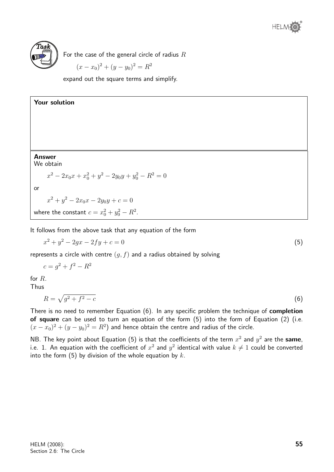

For the case of the general circle of radius  $R$ 

$$
(x - x_0)^2 + (y - y_0)^2 = R^2
$$

expand out the square terms and simplify.



It follows from the above task that any equation of the form

$$
x^2 + y^2 - 2gx - 2fy + c = 0
$$
\n(5)

represents a circle with centre  $(q, f)$  and a radius obtained by solving

$$
c = g^2 + f^2 - R^2
$$
  
for *R*.  
Thus

$$
R = \sqrt{g^2 + f^2 - c} \tag{6}
$$

There is no need to remember Equation (6). In any specific problem the technique of **completion** of square can be used to turn an equation of the form (5) into the form of Equation (2) (i.e.  $(x-x_0)^2 + (y-y_0)^2 = R^2$ ) and hence obtain the centre and radius of the circle.

NB. The key point about Equation (5) is that the coefficients of the term  $x^2$  and  $y^2$  are the same, i.e. 1. An equation with the coefficient of  $x^2$  and  $y^2$  identical with value  $k\neq 1$  could be converted into the form (5) by division of the whole equation by  $k$ .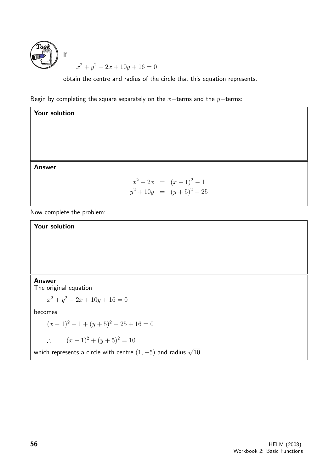

obtain the centre and radius of the circle that this equation represents.

Begin by completing the square separately on the  $x$ −terms and the  $y$ −terms:

Your solution Answer  $x^2 - 2x = (x - 1)^2 - 1$  $y^2 + 10y = (y+5)^2 - 25$ 

Now complete the problem:

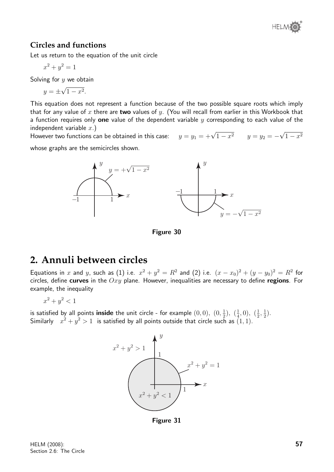

#### **Circles and functions**

Let us return to the equation of the unit circle

$$
x^2 + y^2 = 1
$$

Solving for  $y$  we obtain

$$
y = \pm \sqrt{1 - x^2}.
$$

This equation does not represent a function because of the two possible square roots which imply that for any value of x there are two values of y. (You will recall from earlier in this Workbook that a function requires only one value of the dependent variable  $y$  corresponding to each value of the independent variable  $x.$ ) √

maepenaent variable  $x$ .)<br>However two functions can be obtained in this case:  $y=y_1=+\sqrt{1-x^2} \qquad y=y_2= 1 - x^2$ 

whose graphs are the semicircles shown.



Figure 30

### **2. Annuli between circles**

Equations in x and y, such as (1) i.e.  $x^2 + y^2 = R^2$  and (2) i.e.  $(x - x_0)^2 + (y - y_0)^2 = R^2$  for circles, define curves in the  $Oxy$  plane. However, inequalities are necessary to define regions. For example, the inequality

 $x^2 + y^2 < 1$ 

is satisfied by all points **inside** the unit circle - for example  $(0,0)$ ,  $(0, \frac{1}{2})$  $(\frac{1}{2}), (\frac{1}{4})$  $(\frac{1}{4}, 0), (\frac{1}{2})$  $\frac{1}{2}, \frac{1}{2}$  $(\frac{1}{2})$ . Similarly  $x^2 + y^2 > 1$  is satisfied by all points outside that circle such as  $(1,1)$ .



Figure 31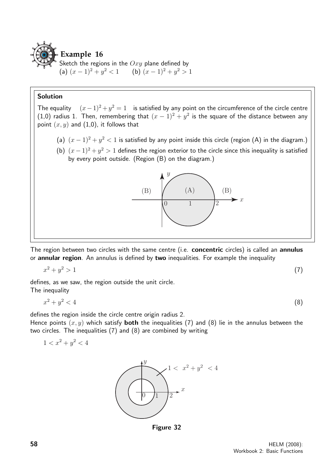

Sketch the regions in the  $Oxy$  plane defined by (a)  $(x-1)^2 + y^2 < 1$  $x^2 < 1$  (b)  $(x - 1)^2 + y^2 > 1$ 

#### Solution

The equality  $(x-1)^2 + y^2 = 1$  is satisfied by any point on the circumference of the circle centre (1,0) radius 1. Then, remembering that  $(x - 1)^2 + y^2$  is the square of the distance between any point  $(x, y)$  and  $(1,0)$ , it follows that

- (a)  $(x-1)^2 + y^2 < 1$  is satisfied by any point inside this circle (region (A) in the diagram.)
- (b)  $(x-1)^2 + y^2 > 1$  defines the region exterior to the circle since this inequality is satisfied by every point outside. (Region (B) on the diagram.)



The region between two circles with the same centre (i.e. concentric circles) is called an annulus or annular region. An annulus is defined by two inequalities. For example the inequality

$$
x^2 + y^2 > 1\tag{7}
$$

defines, as we saw, the region outside the unit circle. The inequality

 $x^2+y$  $2^2 < 4$  (8)

defines the region inside the circle centre origin radius 2.

Hence points  $(x, y)$  which satisfy **both** the inequalities (7) and (8) lie in the annulus between the two circles. The inequalities (7) and (8) are combined by writing

$$
1 < x^2 + y^2 < 4
$$



Figure 32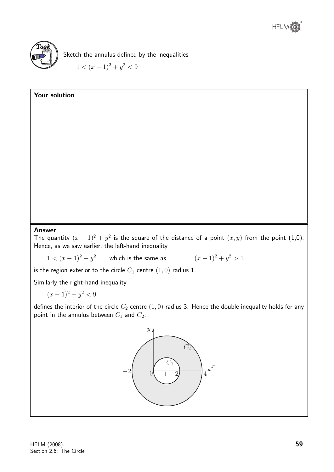

Sketch the annulus defined by the inequalities  $1 < (x-1)^2 + y^2 < 9$ 

## Your solution Answer The quantity  $(x - 1)^2 + y^2$  is the square of the distance of a point  $(x, y)$  from the point  $(1, 0)$ . Hence, as we saw earlier, the left-hand inequality  $1 < (x-1)^2 + y^2$  which is the same as  $(x-1)^2 + y^2$  $(x-1)^2 + y^2 > 1$ is the region exterior to the circle  $C_1$  centre  $(1, 0)$  radius 1. Similarly the right-hand inequality  $(x-1)^2 + y^2 < 9$ defines the interior of the circle  $C_2$  centre  $(1,0)$  radius 3. Hence the double inequality holds for any point in the annulus between  $C_1$  and  $C_2$ .  $\overline{x}$ 2  $\overline{y}$  $0(1 \t 2)$  4  $\eta$  $C_2$  $-2$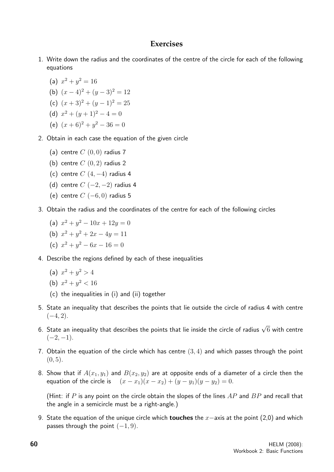#### **Exercises**

1. Write down the radius and the coordinates of the centre of the circle for each of the following equations

(a) 
$$
x^2 + y^2 = 16
$$

- (b)  $(x-4)^2 + (y-3)^2 = 12$
- (c)  $(x+3)^2 + (y-1)^2 = 25$

(d) 
$$
x^2 + (y+1)^2 - 4 = 0
$$

- (e)  $(x+6)^2 + y^2 36 = 0$
- 2. Obtain in each case the equation of the given circle
	- (a) centre  $C(0,0)$  radius 7
	- (b) centre  $C(0, 2)$  radius 2
	- (c) centre  $C(4, -4)$  radius 4
	- (d) centre  $C$  (-2, -2) radius 4
	- (e) centre  $C$  (-6, 0) radius 5
- 3. Obtain the radius and the coordinates of the centre for each of the following circles
	- (a)  $x^2 + y^2 10x + 12y = 0$
	- (b)  $x^2 + y^2 + 2x 4y = 11$
	- (c)  $x^2 + y^2 6x 16 = 0$
- 4. Describe the regions defined by each of these inequalities
	- (a)  $x^2 + y^2 > 4$

(b) 
$$
x^2 + y^2 < 16
$$

- (c) the inequalities in (i) and (ii) together
- 5. State an inequality that describes the points that lie outside the circle of radius 4 with centre  $(-4, 2).$
- 6. State an inequality that describes the points that lie inside the circle of radius  $\sqrt{6}$  with centre  $(-2, -1)$ .
- 7. Obtain the equation of the circle which has centre  $(3, 4)$  and which passes through the point  $(0, 5)$ .
- 8. Show that if  $A(x_1, y_1)$  and  $B(x_2, y_2)$  are at opposite ends of a diameter of a circle then the equation of the circle is  $(x - x_1)(x - x_2) + (y - y_1)(y - y_2) = 0.$

(Hint: if P is any point on the circle obtain the slopes of the lines  $AP$  and  $BP$  and recall that the angle in a semicircle must be a right-angle.)

9. State the equation of the unique circle which **touches** the  $x$ −axis at the point (2,0) and which passes through the point  $(-1, 9)$ .